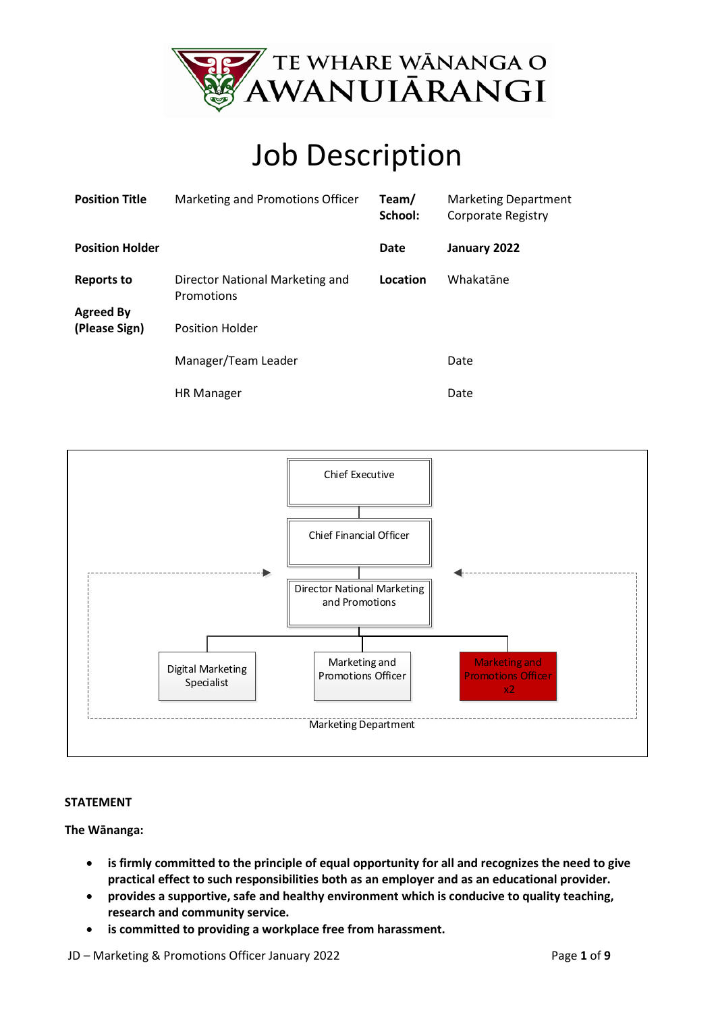

# Job Description

| <b>Position Title</b>                 | Marketing and Promotions Officer              | Team/<br>School: | <b>Marketing Department</b><br>Corporate Registry |
|---------------------------------------|-----------------------------------------------|------------------|---------------------------------------------------|
| <b>Position Holder</b>                |                                               | Date             | January 2022                                      |
| <b>Reports to</b><br><b>Agreed By</b> | Director National Marketing and<br>Promotions | Location         | Whakatāne                                         |
| (Please Sign)                         | <b>Position Holder</b>                        |                  |                                                   |
|                                       | Manager/Team Leader                           |                  | Date                                              |
|                                       | <b>HR Manager</b>                             |                  | Date                                              |



#### **STATEMENT**

**The Wānanga:** 

- **is firmly committed to the principle of equal opportunity for all and recognizes the need to give practical effect to such responsibilities both as an employer and as an educational provider.**
- **provides a supportive, safe and healthy environment which is conducive to quality teaching, research and community service.**
- **is committed to providing a workplace free from harassment.**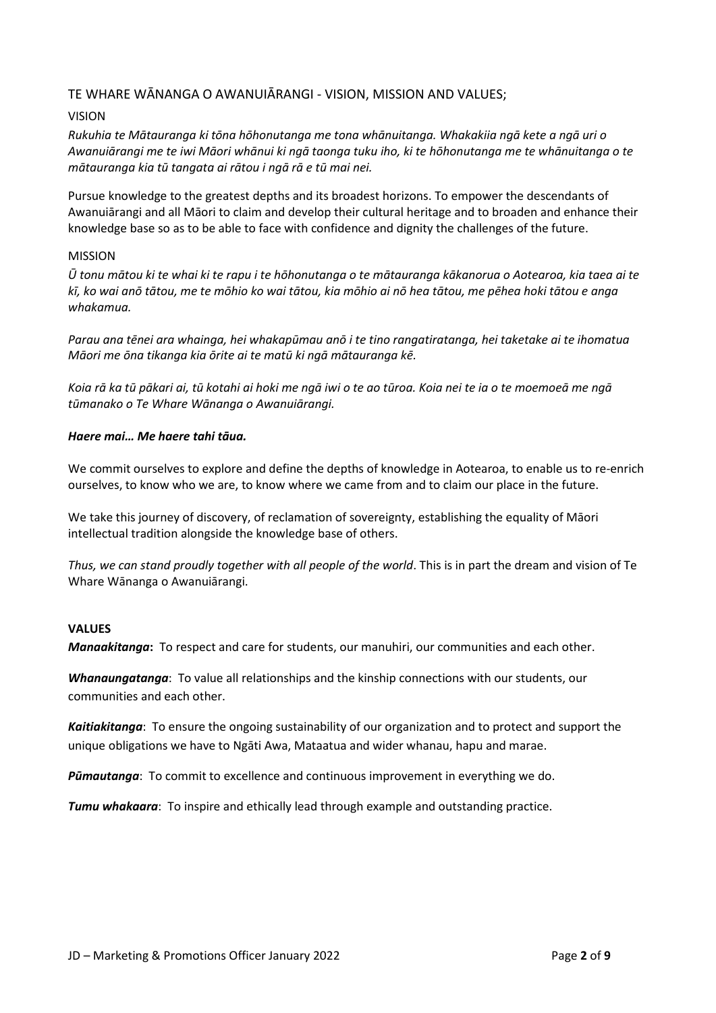### TE WHARE WĀNANGA O AWANUIĀRANGI - VISION, MISSION AND VALUES;

#### VISION

*Rukuhia te Mātauranga ki tōna hōhonutanga me tona whānuitanga. Whakakiia ngā kete a ngā uri o Awanuiārangi me te iwi Māori whānui ki ngā taonga tuku iho, ki te hōhonutanga me te whānuitanga o te mātauranga kia tū tangata ai rātou i ngā rā e tū mai nei.*

Pursue knowledge to the greatest depths and its broadest horizons. To empower the descendants of Awanuiārangi and all Māori to claim and develop their cultural heritage and to broaden and enhance their knowledge base so as to be able to face with confidence and dignity the challenges of the future.

#### MISSION

*Ū tonu mātou ki te whai ki te rapu i te hōhonutanga o te mātauranga kākanorua o Aotearoa, kia taea ai te kī, ko wai anō tātou, me te mōhio ko wai tātou, kia mōhio ai nō hea tātou, me pēhea hoki tātou e anga whakamua.* 

*Parau ana tēnei ara whainga, hei whakapūmau anō i te tino rangatiratanga, hei taketake ai te ihomatua Māori me ōna tikanga kia ōrite ai te matū ki ngā mātauranga kē.* 

*Koia rā ka tū pākari ai, tū kotahi ai hoki me ngā iwi o te ao tūroa. Koia nei te ia o te moemoeā me ngā tūmanako o Te Whare Wānanga o Awanuiārangi.* 

#### *Haere mai… Me haere tahi tāua.*

We commit ourselves to explore and define the depths of knowledge in Aotearoa, to enable us to re-enrich ourselves, to know who we are, to know where we came from and to claim our place in the future.

We take this journey of discovery, of reclamation of sovereignty, establishing the equality of Māori intellectual tradition alongside the knowledge base of others.

*Thus, we can stand proudly together with all people of the world*. This is in part the dream and vision of Te Whare Wānanga o Awanuiārangi.

#### **VALUES**

*Manaakitanga***:** To respect and care for students, our manuhiri, our communities and each other.

*Whanaungatanga*: To value all relationships and the kinship connections with our students, our communities and each other.

*Kaitiakitanga*: To ensure the ongoing sustainability of our organization and to protect and support the unique obligations we have to Ngāti Awa, Mataatua and wider whanau, hapu and marae.

*Pūmautanga*: To commit to excellence and continuous improvement in everything we do.

*Tumu whakaara*: To inspire and ethically lead through example and outstanding practice.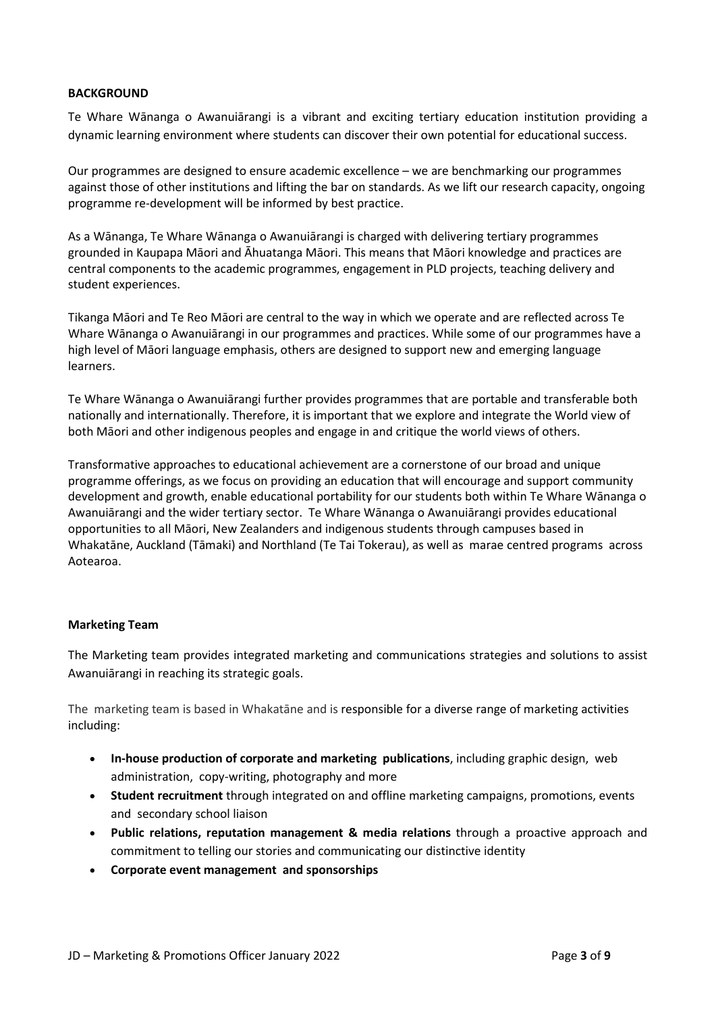#### **BACKGROUND**

Te Whare Wānanga o Awanuiārangi is a vibrant and exciting tertiary education institution providing a dynamic learning environment where students can discover their own potential for educational success.

Our programmes are designed to ensure academic excellence – we are benchmarking our programmes against those of other institutions and lifting the bar on standards. As we lift our research capacity, ongoing programme re-development will be informed by best practice.

As a Wānanga, Te Whare Wānanga o Awanuiārangi is charged with delivering tertiary programmes grounded in Kaupapa Māori and Āhuatanga Māori. This means that Māori knowledge and practices are central components to the academic programmes, engagement in PLD projects, teaching delivery and student experiences.

Tikanga Māori and Te Reo Māori are central to the way in which we operate and are reflected across Te Whare Wānanga o Awanuiārangi in our programmes and practices. While some of our programmes have a high level of Māori language emphasis, others are designed to support new and emerging language learners.

Te Whare Wānanga o Awanuiārangi further provides programmes that are portable and transferable both nationally and internationally. Therefore, it is important that we explore and integrate the World view of both Māori and other indigenous peoples and engage in and critique the world views of others.

Transformative approaches to educational achievement are a cornerstone of our broad and unique programme offerings, as we focus on providing an education that will encourage and support community development and growth, enable educational portability for our students both within Te Whare Wānanga o Awanuiārangi and the wider tertiary sector. Te Whare Wānanga o Awanuiārangi provides educational opportunities to all Māori, New Zealanders and indigenous students through campuses based in Whakatāne, Auckland (Tāmaki) and Northland (Te Tai Tokerau), as well as marae centred programs across Aotearoa.

#### **Marketing Team**

The Marketing team provides integrated marketing and communications strategies and solutions to assist Awanuiārangi in reaching its strategic goals.

The marketing team is based in Whakatāne and is responsible for a diverse range of marketing activities including:

- **In-house production of corporate and marketing publications**, including graphic design, web administration, copy-writing, photography and more
- **Student recruitment** through integrated on and offline marketing campaigns, promotions, events and secondary school liaison
- **Public relations, reputation management & media relations** through a proactive approach and commitment to telling our stories and communicating our distinctive identity
- **Corporate event management and sponsorships**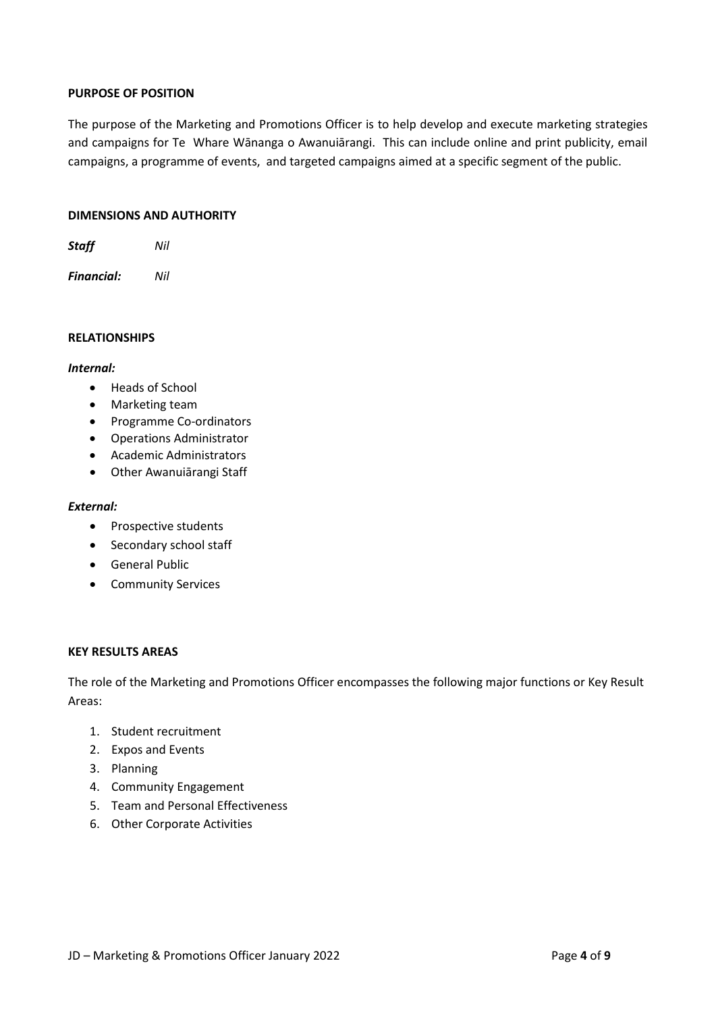#### **PURPOSE OF POSITION**

The purpose of the Marketing and Promotions Officer is to help develop and execute marketing strategies and campaigns for Te Whare Wānanga o Awanuiārangi. This can include online and print publicity, email campaigns, a programme of events, and targeted campaigns aimed at a specific segment of the public.

#### **DIMENSIONS AND AUTHORITY**

*Staff Nil*

*Financial: Nil*

#### **RELATIONSHIPS**

#### *Internal:*

- Heads of School
- Marketing team
- Programme Co-ordinators
- Operations Administrator
- Academic Administrators
- Other Awanuiārangi Staff

#### *External:*

- Prospective students
- Secondary school staff
- General Public
- Community Services

#### **KEY RESULTS AREAS**

The role of the Marketing and Promotions Officer encompasses the following major functions or Key Result Areas:

- 1. Student recruitment
- 2. Expos and Events
- 3. Planning
- 4. Community Engagement
- 5. Team and Personal Effectiveness
- 6. Other Corporate Activities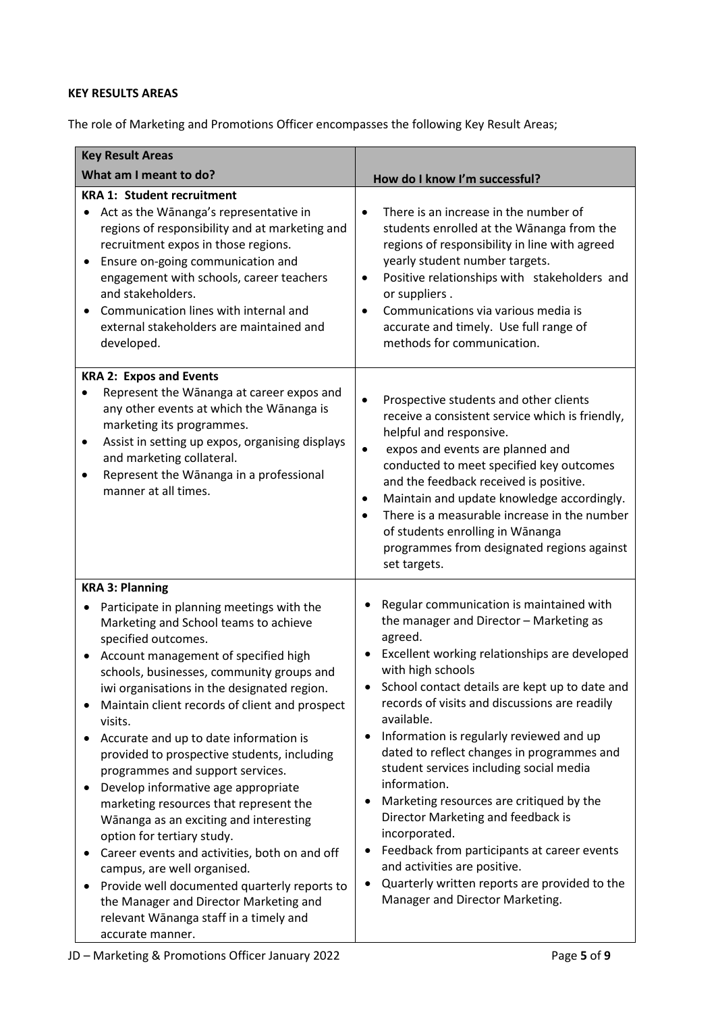## **KEY RESULTS AREAS**

The role of Marketing and Promotions Officer encompasses the following Key Result Areas;

| <b>Key Result Areas</b>                                                                                                                                                                                                                                                                                                                                                                                                                                                                                                                                                                                                                                                                                                                                                                                                                                            |                                                                                                                                                                                                                                                                                                                                                                                                                                                                                                                                                                                                                                                                                                                               |  |
|--------------------------------------------------------------------------------------------------------------------------------------------------------------------------------------------------------------------------------------------------------------------------------------------------------------------------------------------------------------------------------------------------------------------------------------------------------------------------------------------------------------------------------------------------------------------------------------------------------------------------------------------------------------------------------------------------------------------------------------------------------------------------------------------------------------------------------------------------------------------|-------------------------------------------------------------------------------------------------------------------------------------------------------------------------------------------------------------------------------------------------------------------------------------------------------------------------------------------------------------------------------------------------------------------------------------------------------------------------------------------------------------------------------------------------------------------------------------------------------------------------------------------------------------------------------------------------------------------------------|--|
| What am I meant to do?                                                                                                                                                                                                                                                                                                                                                                                                                                                                                                                                                                                                                                                                                                                                                                                                                                             | How do I know I'm successful?                                                                                                                                                                                                                                                                                                                                                                                                                                                                                                                                                                                                                                                                                                 |  |
| <b>KRA 1: Student recruitment</b><br>Act as the Wānanga's representative in<br>regions of responsibility and at marketing and<br>recruitment expos in those regions.<br>Ensure on-going communication and<br>engagement with schools, career teachers<br>and stakeholders.<br>Communication lines with internal and<br>external stakeholders are maintained and<br>developed.                                                                                                                                                                                                                                                                                                                                                                                                                                                                                      | There is an increase in the number of<br>$\bullet$<br>students enrolled at the Wānanga from the<br>regions of responsibility in line with agreed<br>yearly student number targets.<br>Positive relationships with stakeholders and<br>٠<br>or suppliers.<br>Communications via various media is<br>accurate and timely. Use full range of<br>methods for communication.                                                                                                                                                                                                                                                                                                                                                       |  |
| <b>KRA 2: Expos and Events</b><br>Represent the Wānanga at career expos and<br>any other events at which the Wānanga is<br>marketing its programmes.<br>Assist in setting up expos, organising displays<br>٠<br>and marketing collateral.<br>Represent the Wānanga in a professional<br>manner at all times.                                                                                                                                                                                                                                                                                                                                                                                                                                                                                                                                                       | Prospective students and other clients<br>receive a consistent service which is friendly,<br>helpful and responsive.<br>expos and events are planned and<br>$\bullet$<br>conducted to meet specified key outcomes<br>and the feedback received is positive.<br>Maintain and update knowledge accordingly.<br>٠<br>There is a measurable increase in the number<br>of students enrolling in Wānanga<br>programmes from designated regions against<br>set targets.                                                                                                                                                                                                                                                              |  |
| <b>KRA 3: Planning</b><br>Participate in planning meetings with the<br>Marketing and School teams to achieve<br>specified outcomes.<br>Account management of specified high<br>schools, businesses, community groups and<br>iwi organisations in the designated region.<br>Maintain client records of client and prospect<br>visits.<br>Accurate and up to date information is<br>provided to prospective students, including<br>programmes and support services.<br>Develop informative age appropriate<br>marketing resources that represent the<br>Wānanga as an exciting and interesting<br>option for tertiary study.<br>Career events and activities, both on and off<br>campus, are well organised.<br>Provide well documented quarterly reports to<br>the Manager and Director Marketing and<br>relevant Wānanga staff in a timely and<br>accurate manner. | Regular communication is maintained with<br>the manager and Director - Marketing as<br>agreed.<br>Excellent working relationships are developed<br>with high schools<br>School contact details are kept up to date and<br>records of visits and discussions are readily<br>available.<br>Information is regularly reviewed and up<br>dated to reflect changes in programmes and<br>student services including social media<br>information.<br>Marketing resources are critiqued by the<br>Director Marketing and feedback is<br>incorporated.<br>Feedback from participants at career events<br>and activities are positive.<br>Quarterly written reports are provided to the<br>$\bullet$<br>Manager and Director Marketing. |  |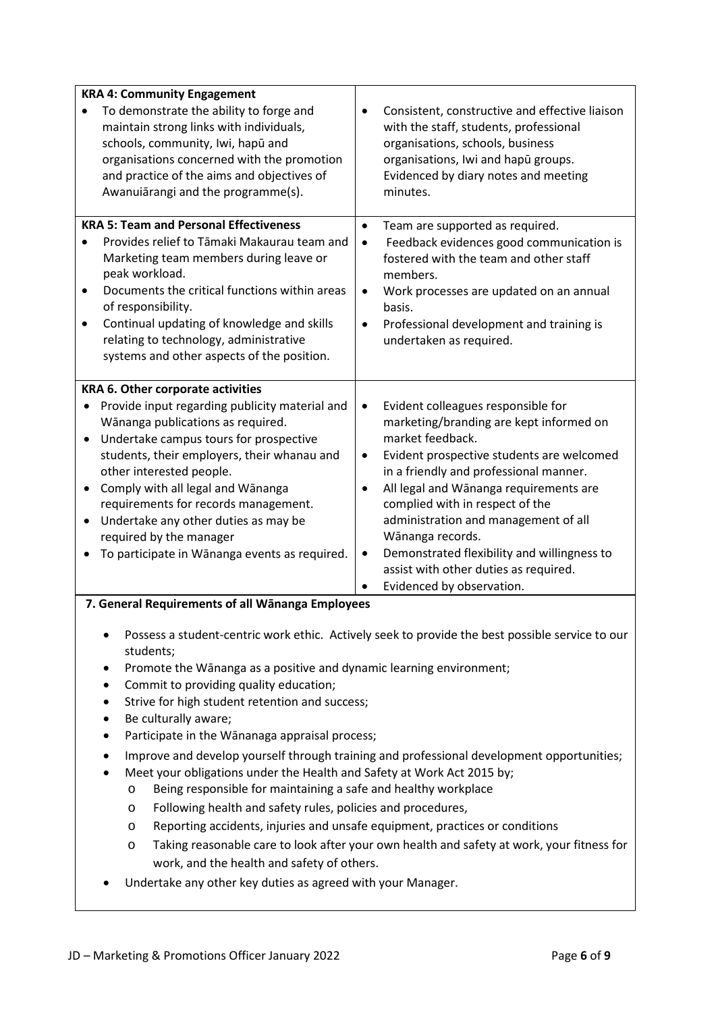| <b>KRA 4: Community Engagement</b>                                                                                                                                                                                                                        |                                                                                                                                                                                                                         |  |  |
|-----------------------------------------------------------------------------------------------------------------------------------------------------------------------------------------------------------------------------------------------------------|-------------------------------------------------------------------------------------------------------------------------------------------------------------------------------------------------------------------------|--|--|
| To demonstrate the ability to forge and<br>maintain strong links with individuals,<br>schools, community, Iwi, hapū and<br>organisations concerned with the promotion<br>and practice of the aims and objectives of<br>Awanuiārangi and the programme(s). | Consistent, constructive and effective liaison<br>with the staff, students, professional<br>organisations, schools, business<br>organisations, Iwi and hapū groups.<br>Evidenced by diary notes and meeting<br>minutes. |  |  |
| <b>KRA 5: Team and Personal Effectiveness</b><br>Provides relief to Tāmaki Makaurau team and                                                                                                                                                              | Team are supported as required.<br>$\bullet$                                                                                                                                                                            |  |  |
| Marketing team members during leave or                                                                                                                                                                                                                    | Feedback evidences good communication is<br>$\bullet$<br>fostered with the team and other staff                                                                                                                         |  |  |
| peak workload.<br>Documents the critical functions within areas                                                                                                                                                                                           | members.                                                                                                                                                                                                                |  |  |
| $\bullet$<br>of responsibility.                                                                                                                                                                                                                           | Work processes are updated on an annual<br>٠<br>basis.                                                                                                                                                                  |  |  |
| Continual updating of knowledge and skills<br>٠                                                                                                                                                                                                           | Professional development and training is<br>$\bullet$                                                                                                                                                                   |  |  |
| relating to technology, administrative<br>systems and other aspects of the position.                                                                                                                                                                      | undertaken as required.                                                                                                                                                                                                 |  |  |
|                                                                                                                                                                                                                                                           |                                                                                                                                                                                                                         |  |  |
| KRA 6. Other corporate activities<br>Provide input regarding publicity material and<br>$\bullet$                                                                                                                                                          | Evident colleagues responsible for<br>$\bullet$                                                                                                                                                                         |  |  |
| Wānanga publications as required.                                                                                                                                                                                                                         | marketing/branding are kept informed on                                                                                                                                                                                 |  |  |
| Undertake campus tours for prospective<br>students, their employers, their whanau and                                                                                                                                                                     | market feedback.<br>Evident prospective students are welcomed<br>$\bullet$                                                                                                                                              |  |  |
| other interested people.                                                                                                                                                                                                                                  | in a friendly and professional manner.                                                                                                                                                                                  |  |  |
| Comply with all legal and Wānanga                                                                                                                                                                                                                         | All legal and Wānanga requirements are                                                                                                                                                                                  |  |  |
| requirements for records management.<br>Undertake any other duties as may be                                                                                                                                                                              | complied with in respect of the<br>administration and management of all                                                                                                                                                 |  |  |
| required by the manager                                                                                                                                                                                                                                   | Wānanga records.                                                                                                                                                                                                        |  |  |
| To participate in Wānanga events as required.                                                                                                                                                                                                             | Demonstrated flexibility and willingness to<br>٠<br>assist with other duties as required.                                                                                                                               |  |  |
|                                                                                                                                                                                                                                                           | Evidenced by observation.                                                                                                                                                                                               |  |  |
| 7. General Requirements of all Wānanga Employees                                                                                                                                                                                                          |                                                                                                                                                                                                                         |  |  |
| students;                                                                                                                                                                                                                                                 | Possess a student-centric work ethic. Actively seek to provide the best possible service to our                                                                                                                         |  |  |
| Promote the Wānanga as a positive and dynamic learning environment;<br>٠                                                                                                                                                                                  |                                                                                                                                                                                                                         |  |  |
| Commit to providing quality education;<br>٠<br>Strive for high student retention and success;<br>٠                                                                                                                                                        |                                                                                                                                                                                                                         |  |  |
| Be culturally aware;<br>٠                                                                                                                                                                                                                                 |                                                                                                                                                                                                                         |  |  |
| Participate in the Wānanaga appraisal process;<br>٠                                                                                                                                                                                                       |                                                                                                                                                                                                                         |  |  |
| Improve and develop yourself through training and professional development opportunities;<br>$\bullet$                                                                                                                                                    |                                                                                                                                                                                                                         |  |  |
| Meet your obligations under the Health and Safety at Work Act 2015 by;<br>Being responsible for maintaining a safe and healthy workplace<br>$\circ$                                                                                                       |                                                                                                                                                                                                                         |  |  |
| Following health and safety rules, policies and procedures,<br>$\circ$                                                                                                                                                                                    |                                                                                                                                                                                                                         |  |  |
| $\circ$                                                                                                                                                                                                                                                   | Reporting accidents, injuries and unsafe equipment, practices or conditions                                                                                                                                             |  |  |
| Taking reasonable care to look after your own health and safety at work, your fitness for<br>$\circ$<br>work, and the health and safety of others.                                                                                                        |                                                                                                                                                                                                                         |  |  |
| Undertake any other key duties as agreed with your Manager.                                                                                                                                                                                               |                                                                                                                                                                                                                         |  |  |
|                                                                                                                                                                                                                                                           |                                                                                                                                                                                                                         |  |  |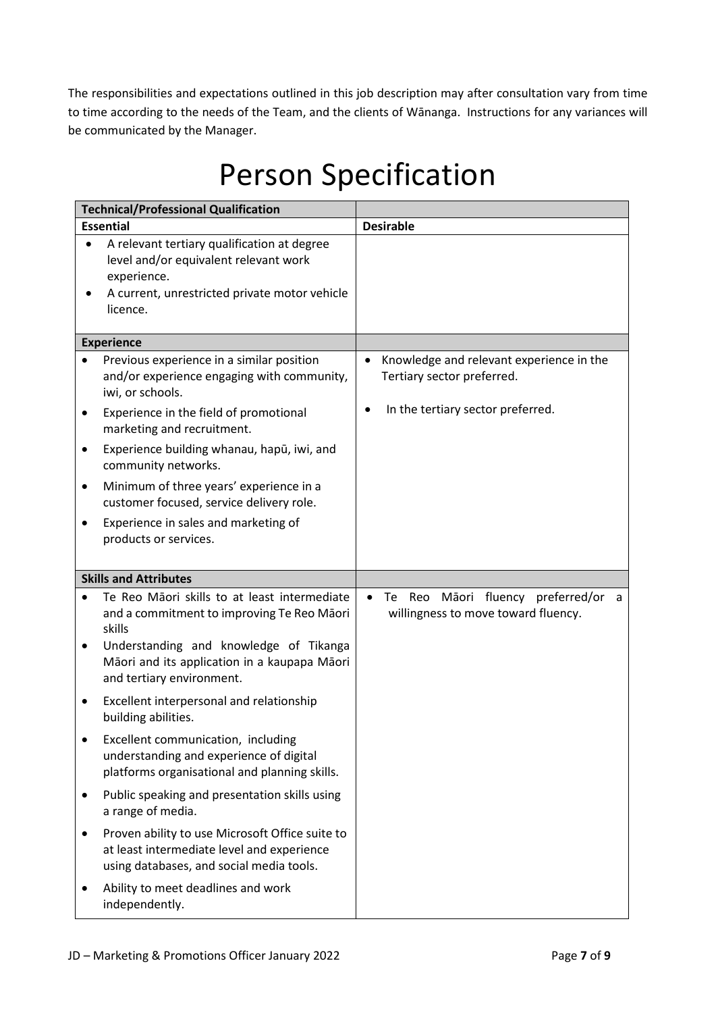The responsibilities and expectations outlined in this job description may after consultation vary from time to time according to the needs of the Team, and the clients of Wānanga. Instructions for any variances will be communicated by the Manager.

# Person Specification

| <b>Technical/Professional Qualification</b> |                                                                                                                                                                  |           |                                                                                    |
|---------------------------------------------|------------------------------------------------------------------------------------------------------------------------------------------------------------------|-----------|------------------------------------------------------------------------------------|
| <b>Essential</b>                            |                                                                                                                                                                  |           | <b>Desirable</b>                                                                   |
|                                             | A relevant tertiary qualification at degree<br>level and/or equivalent relevant work<br>experience.<br>A current, unrestricted private motor vehicle<br>licence. |           |                                                                                    |
|                                             | <b>Experience</b>                                                                                                                                                |           |                                                                                    |
|                                             | Previous experience in a similar position<br>and/or experience engaging with community,<br>iwi, or schools.                                                      | $\bullet$ | Knowledge and relevant experience in the<br>Tertiary sector preferred.             |
| ٠                                           | Experience in the field of promotional<br>marketing and recruitment.                                                                                             | $\bullet$ | In the tertiary sector preferred.                                                  |
| ٠                                           | Experience building whanau, hapū, iwi, and<br>community networks.                                                                                                |           |                                                                                    |
| ٠                                           | Minimum of three years' experience in a<br>customer focused, service delivery role.                                                                              |           |                                                                                    |
| $\bullet$                                   | Experience in sales and marketing of<br>products or services.                                                                                                    |           |                                                                                    |
|                                             | <b>Skills and Attributes</b>                                                                                                                                     |           |                                                                                    |
|                                             | Te Reo Māori skills to at least intermediate<br>and a commitment to improving Te Reo Māori<br>skills                                                             |           | Māori fluency preferred/or a<br>Te l<br>Reo<br>willingness to move toward fluency. |
| ٠                                           | Understanding and knowledge of Tikanga<br>Māori and its application in a kaupapa Māori<br>and tertiary environment.                                              |           |                                                                                    |
| $\bullet$                                   | Excellent interpersonal and relationship<br>building abilities.                                                                                                  |           |                                                                                    |
|                                             | Excellent communication, including<br>understanding and experience of digital<br>platforms organisational and planning skills.                                   |           |                                                                                    |
| $\bullet$                                   | Public speaking and presentation skills using<br>a range of media.                                                                                               |           |                                                                                    |
|                                             | Proven ability to use Microsoft Office suite to<br>at least intermediate level and experience<br>using databases, and social media tools.                        |           |                                                                                    |
|                                             | Ability to meet deadlines and work<br>independently.                                                                                                             |           |                                                                                    |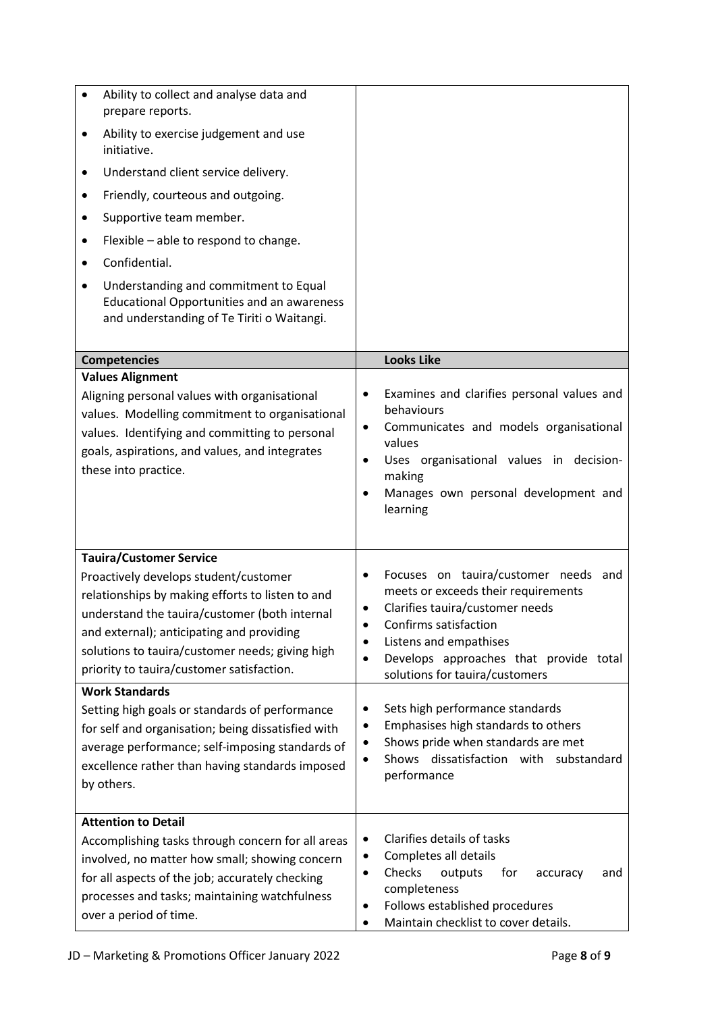| Ability to collect and analyse data and<br>prepare reports.<br>Ability to exercise judgement and use<br>٠<br>initiative.<br>Understand client service delivery.<br>٠<br>Friendly, courteous and outgoing.<br>٠<br>Supportive team member.<br>٠<br>Flexible - able to respond to change.<br>$\bullet$<br>Confidential.<br>Understanding and commitment to Equal<br>٠<br><b>Educational Opportunities and an awareness</b><br>and understanding of Te Tiriti o Waitangi.                                                                                                         |                                                                                                                                                                                                                                                                                                                                                                                                                           |
|--------------------------------------------------------------------------------------------------------------------------------------------------------------------------------------------------------------------------------------------------------------------------------------------------------------------------------------------------------------------------------------------------------------------------------------------------------------------------------------------------------------------------------------------------------------------------------|---------------------------------------------------------------------------------------------------------------------------------------------------------------------------------------------------------------------------------------------------------------------------------------------------------------------------------------------------------------------------------------------------------------------------|
| <b>Competencies</b>                                                                                                                                                                                                                                                                                                                                                                                                                                                                                                                                                            | <b>Looks Like</b>                                                                                                                                                                                                                                                                                                                                                                                                         |
| <b>Values Alignment</b><br>Aligning personal values with organisational<br>values. Modelling commitment to organisational<br>values. Identifying and committing to personal<br>goals, aspirations, and values, and integrates<br>these into practice.                                                                                                                                                                                                                                                                                                                          | Examines and clarifies personal values and<br>٠<br>behaviours<br>Communicates and models organisational<br>٠<br>values<br>Uses organisational values in decision-<br>$\bullet$<br>making<br>Manages own personal development and<br>$\bullet$<br>learning                                                                                                                                                                 |
| <b>Tauira/Customer Service</b><br>Proactively develops student/customer<br>relationships by making efforts to listen to and<br>understand the tauira/customer (both internal<br>and external); anticipating and providing<br>solutions to tauira/customer needs; giving high<br>priority to tauira/customer satisfaction.<br><b>Work Standards</b><br>Setting high goals or standards of performance<br>for self and organisation; being dissatisfied with<br>average performance; self-imposing standards of<br>excellence rather than having standards imposed<br>by others. | Focuses on tauira/customer needs and<br>meets or exceeds their requirements<br>Clarifies tauira/customer needs<br>Confirms satisfaction<br>Listens and empathises<br>Develops approaches that provide total<br>solutions for tauira/customers<br>Sets high performance standards<br>Emphasises high standards to others<br>Shows pride when standards are met<br>Shows dissatisfaction with<br>substandard<br>performance |
| <b>Attention to Detail</b><br>Accomplishing tasks through concern for all areas<br>involved, no matter how small; showing concern<br>for all aspects of the job; accurately checking<br>processes and tasks; maintaining watchfulness<br>over a period of time.                                                                                                                                                                                                                                                                                                                | Clarifies details of tasks<br>٠<br>Completes all details<br>٠<br>Checks<br>outputs<br>for<br>accuracy<br>and<br>$\bullet$<br>completeness<br>Follows established procedures<br>Maintain checklist to cover details.                                                                                                                                                                                                       |